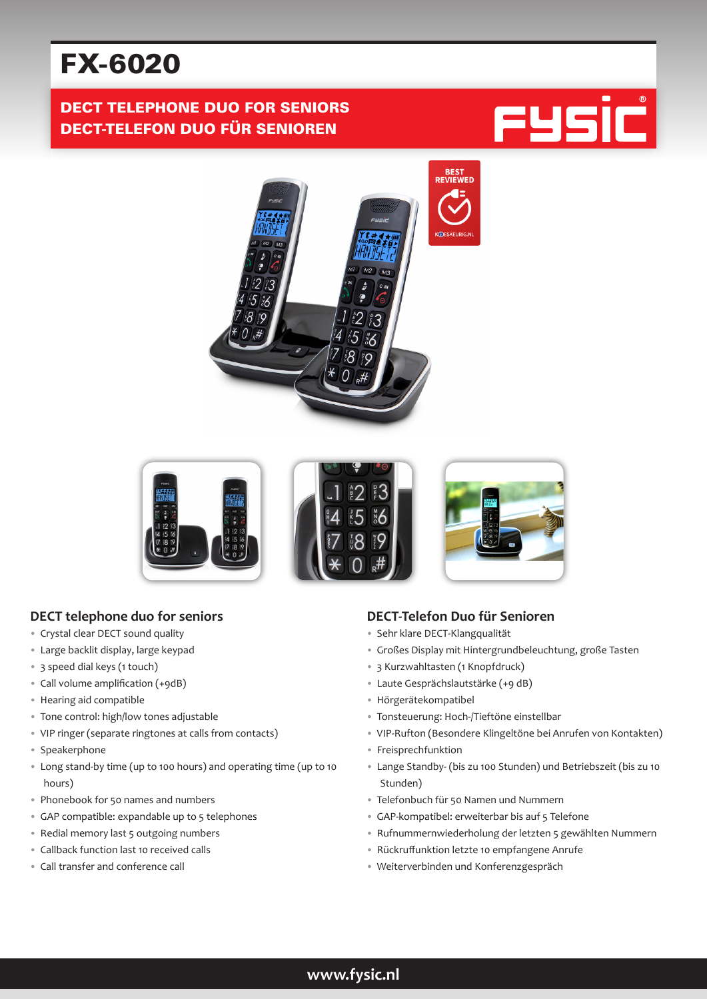# FX-6020

# DECT TELEPHONE DUO FOR SENIORS DECT-TELEFON DUO FÜR SENIOREN







## **DECT telephone duo for seniors**

- Crystal clear DECT sound quality
- Large backlit display, large keypad
- 3 speed dial keys (1 touch)
- Call volume amplification (+9dB)
- Hearing aid compatible
- Tone control: high/low tones adjustable
- VIP ringer (separate ringtones at calls from contacts)
- Speakerphone
- Long stand-by time (up to 100 hours) and operating time (up to 10 hours)
- Phonebook for 50 names and numbers
- GAP compatible: expandable up to 5 telephones
- Redial memory last 5 outgoing numbers
- Callback function last 10 received calls
- Call transfer and conference call

### **DECT-Telefon Duo für Senioren**

- Sehr klare DECT-Klangqualität
- Großes Display mit Hintergrundbeleuchtung, große Tasten
- 3 Kurzwahltasten (1 Knopfdruck)
- Laute Gesprächslautstärke (+9 dB)
- Hörgerätekompatibel
- Tonsteuerung: Hoch-/Tieftöne einstellbar
- VIP-Rufton (Besondere Klingeltöne bei Anrufen von Kontakten)
- Freisprechfunktion
- Lange Standby- (bis zu 100 Stunden) und Betriebszeit (bis zu 10 Stunden)
- Telefonbuch für 50 Namen und Nummern
- GAP-kompatibel: erweiterbar bis auf 5 Telefone
- Rufnummernwiederholung der letzten 5 gewählten Nummern
- Rückruffunktion letzte 10 empfangene Anrufe
- Weiterverbinden und Konferenzgespräch